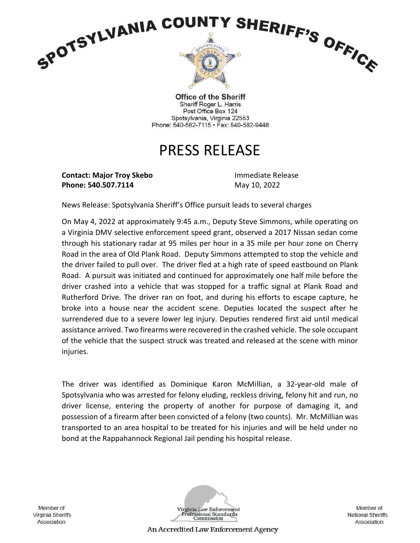

**Office of the Sheriff** Sheriff Roger L. Harris Post Office Box 124 Spotsylvania, Virginia 22553 Phone: 540-582-7115 · Fax: 540-582-9448

## PRESS RELEASE

**Contact: Major Troy Skebo** Immediate Release **Phone: 540.507.7114** May 10, 2022

News Release: Spotsylvania Sheriff's Office pursuit leads to several charges

On May 4, 2022 at approximately 9:45 a.m., Deputy Steve Simmons, while operating on a Virginia DMV selective enforcement speed grant, observed a 2017 Nissan sedan come through his stationary radar at 95 miles per hour in a 35 mile per hour zone on Cherry Road in the area of Old Plank Road. Deputy Simmons attempted to stop the vehicle and the driver failed to pull over. The driver fled at a high rate of speed eastbound on Plank Road. A pursuit was initiated and continued for approximately one half mile before the driver crashed into a vehicle that was stopped for a traffic signal at Plank Road and Rutherford Drive. The driver ran on foot, and during his efforts to escape capture, he broke into a house near the accident scene. Deputies located the suspect after he surrendered due to a severe lower leg injury. Deputies rendered first aid until medical assistance arrived. Two firearms were recovered in the crashed vehicle. The sole occupant of the vehicle that the suspect struck was treated and released at the scene with minor injuries.

The driver was identified as Dominique Karon McMillian, a 32-year-old male of Spotsylvania who was arrested for felony eluding, reckless driving, felony hit and run, no driver license, entering the property of another for purpose of damaging it, and possession of a firearm after been convicted of a felony (two counts). Mr. McMillian was transported to an area hospital to be treated for his injuries and will be held under no bond at the Rappahannock Regional Jail pending his hospital release.

Member of Virginia Sheriffs Association



Member of **National Sheriffs** Association

An Accredited Law Enforcement Agency